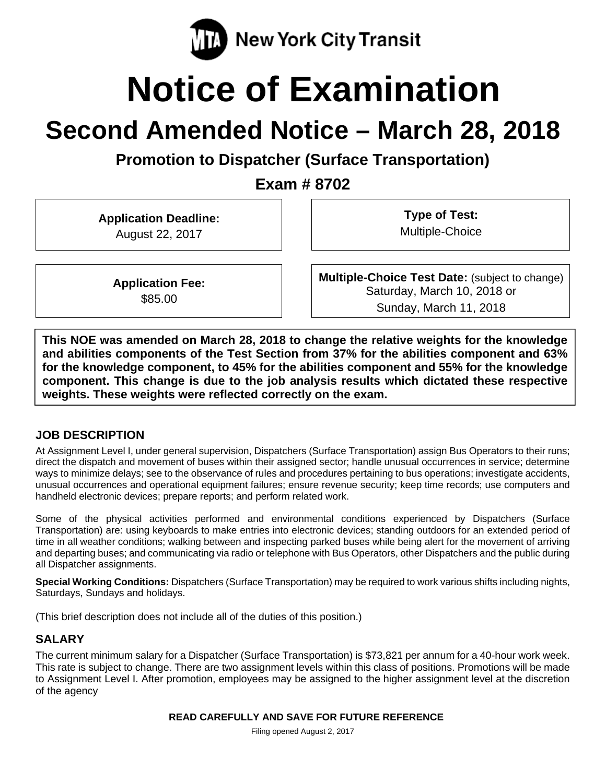

# **Notice of Examination**

# **Second Amended Notice – March 28, 2018**

**Promotion to Dispatcher (Surface Transportation)** 

**Exam # 8702** 

**Application Deadline:**  August 22, 2017

**Type of Test:**  Multiple-Choice

**Application Fee:**  \$85.00

**Multiple-Choice Test Date:** (subject to change) Saturday, March 10, 2018 or Sunday, March 11, 2018

**This NOE was amended on March 28, 2018 to change the relative weights for the knowledge and abilities components of the Test Section from 37% for the abilities component and 63% for the knowledge component, to 45% for the abilities component and 55% for the knowledge component. This change is due to the job analysis results which dictated these respective weights. These weights were reflected correctly on the exam.** 

#### **JOB DESCRIPTION**

At Assignment Level I, under general supervision, Dispatchers (Surface Transportation) assign Bus Operators to their runs; direct the dispatch and movement of buses within their assigned sector; handle unusual occurrences in service; determine ways to minimize delays; see to the observance of rules and procedures pertaining to bus operations; investigate accidents, unusual occurrences and operational equipment failures; ensure revenue security; keep time records; use computers and handheld electronic devices; prepare reports; and perform related work.

Some of the physical activities performed and environmental conditions experienced by Dispatchers (Surface Transportation) are: using keyboards to make entries into electronic devices; standing outdoors for an extended period of time in all weather conditions; walking between and inspecting parked buses while being alert for the movement of arriving and departing buses; and communicating via radio or telephone with Bus Operators, other Dispatchers and the public during all Dispatcher assignments.

**Special Working Conditions:** Dispatchers (Surface Transportation) may be required to work various shifts including nights, Saturdays, Sundays and holidays.

(This brief description does not include all of the duties of this position.)

# **SALARY**

The current minimum salary for a Dispatcher (Surface Transportation) is \$73,821 per annum for a 40-hour work week. This rate is subject to change. There are two assignment levels within this class of positions. Promotions will be made to Assignment Level I. After promotion, employees may be assigned to the higher assignment level at the discretion of the agency

#### **READ CAREFULLY AND SAVE FOR FUTURE REFERENCE**

Filing opened August 2, 2017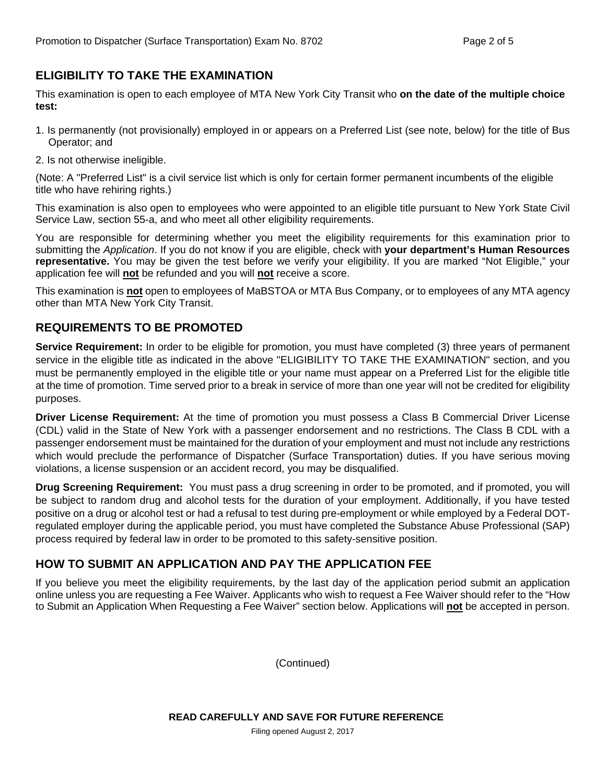# **ELIGIBILITY TO TAKE THE EXAMINATION**

This examination is open to each employee of MTA New York City Transit who **on the date of the multiple choice test:** 

- 1. Is permanently (not provisionally) employed in or appears on a Preferred List (see note, below) for the title of Bus Operator; and
- 2. Is not otherwise ineligible.

(Note: A "Preferred List" is a civil service list which is only for certain former permanent incumbents of the eligible title who have rehiring rights.)

This examination is also open to employees who were appointed to an eligible title pursuant to New York State Civil Service Law, section 55-a, and who meet all other eligibility requirements.

You are responsible for determining whether you meet the eligibility requirements for this examination prior to submitting the *Application*. If you do not know if you are eligible, check with **your department's Human Resources representative.** You may be given the test before we verify your eligibility. If you are marked "Not Eligible," your application fee will **not** be refunded and you will **not** receive a score.

This examination is **not** open to employees of MaBSTOA or MTA Bus Company, or to employees of any MTA agency other than MTA New York City Transit.

# **REQUIREMENTS TO BE PROMOTED**

**Service Requirement:** In order to be eligible for promotion, you must have completed (3) three years of permanent service in the eligible title as indicated in the above "ELIGIBILITY TO TAKE THE EXAMINATION" section, and you must be permanently employed in the eligible title or your name must appear on a Preferred List for the eligible title at the time of promotion. Time served prior to a break in service of more than one year will not be credited for eligibility purposes.

**Driver License Requirement:** At the time of promotion you must possess a Class B Commercial Driver License (CDL) valid in the State of New York with a passenger endorsement and no restrictions. The Class B CDL with a passenger endorsement must be maintained for the duration of your employment and must not include any restrictions which would preclude the performance of Dispatcher (Surface Transportation) duties. If you have serious moving violations, a license suspension or an accident record, you may be disqualified.

**Drug Screening Requirement:** You must pass a drug screening in order to be promoted, and if promoted, you will be subject to random drug and alcohol tests for the duration of your employment. Additionally, if you have tested positive on a drug or alcohol test or had a refusal to test during pre-employment or while employed by a Federal DOTregulated employer during the applicable period, you must have completed the Substance Abuse Professional (SAP) process required by federal law in order to be promoted to this safety-sensitive position.

#### **HOW TO SUBMIT AN APPLICATION AND PAY THE APPLICATION FEE**

If you believe you meet the eligibility requirements, by the last day of the application period submit an application online unless you are requesting a Fee Waiver. Applicants who wish to request a Fee Waiver should refer to the "How to Submit an Application When Requesting a Fee Waiver" section below. Applications will **not** be accepted in person.

(Continued)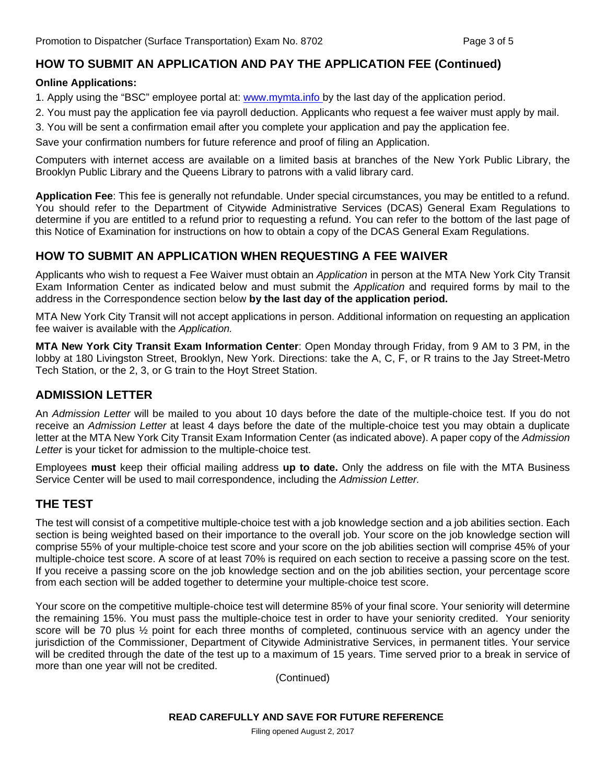# **HOW TO SUBMIT AN APPLICATION AND PAY THE APPLICATION FEE (Continued)**

#### **Online Applications:**

1. Apply using the "BSC" employee portal at: www.mymta.info by the last day of the application period.

- 2. You must pay the application fee via payroll deduction. Applicants who request a fee waiver must apply by mail.
- 3. You will be sent a confirmation email after you complete your application and pay the application fee.

Save your confirmation numbers for future reference and proof of filing an Application.

Computers with internet access are available on a limited basis at branches of the New York Public Library, the Brooklyn Public Library and the Queens Library to patrons with a valid library card.

**Application Fee**: This fee is generally not refundable. Under special circumstances, you may be entitled to a refund. You should refer to the Department of Citywide Administrative Services (DCAS) General Exam Regulations to determine if you are entitled to a refund prior to requesting a refund. You can refer to the bottom of the last page of this Notice of Examination for instructions on how to obtain a copy of the DCAS General Exam Regulations.

# **HOW TO SUBMIT AN APPLICATION WHEN REQUESTING A FEE WAIVER**

Applicants who wish to request a Fee Waiver must obtain an *Application* in person at the MTA New York City Transit Exam Information Center as indicated below and must submit the *Application* and required forms by mail to the address in the Correspondence section below **by the last day of the application period.**

MTA New York City Transit will not accept applications in person. Additional information on requesting an application fee waiver is available with the *Application.* 

**MTA New York City Transit Exam Information Center**: Open Monday through Friday, from 9 AM to 3 PM, in the lobby at 180 Livingston Street, Brooklyn, New York. Directions: take the A, C, F, or R trains to the Jay Street-Metro Tech Station, or the 2, 3, or G train to the Hoyt Street Station.

#### **ADMISSION LETTER**

An *Admission Letter* will be mailed to you about 10 days before the date of the multiple-choice test. If you do not receive an *Admission Letter* at least 4 days before the date of the multiple-choice test you may obtain a duplicate letter at the MTA New York City Transit Exam Information Center (as indicated above). A paper copy of the *Admission*  Letter is your ticket for admission to the multiple-choice test.

Employees **must** keep their official mailing address **up to date.** Only the address on file with the MTA Business Service Center will be used to mail correspondence, including the *Admission Letter.*

#### **THE TEST**

The test will consist of a competitive multiple-choice test with a job knowledge section and a job abilities section. Each section is being weighted based on their importance to the overall job. Your score on the job knowledge section will comprise 55% of your multiple-choice test score and your score on the job abilities section will comprise 45% of your multiple-choice test score. A score of at least 70% is required on each section to receive a passing score on the test. If you receive a passing score on the job knowledge section and on the job abilities section, your percentage score from each section will be added together to determine your multiple-choice test score.

Your score on the competitive multiple-choice test will determine 85% of your final score. Your seniority will determine the remaining 15%. You must pass the multiple-choice test in order to have your seniority credited. Your seniority score will be 70 plus  $\frac{1}{2}$  point for each three months of completed, continuous service with an agency under the jurisdiction of the Commissioner, Department of Citywide Administrative Services, in permanent titles. Your service will be credited through the date of the test up to a maximum of 15 years. Time served prior to a break in service of more than one year will not be credited.

(Continued)

Filing opened August 2, 2017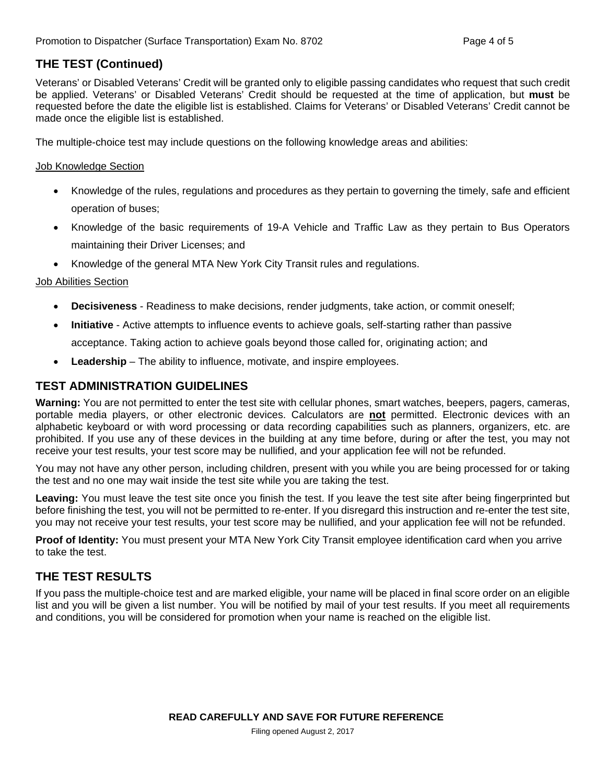# **THE TEST (Continued)**

Veterans' or Disabled Veterans' Credit will be granted only to eligible passing candidates who request that such credit be applied. Veterans' or Disabled Veterans' Credit should be requested at the time of application, but **must** be requested before the date the eligible list is established. Claims for Veterans' or Disabled Veterans' Credit cannot be made once the eligible list is established.

The multiple-choice test may include questions on the following knowledge areas and abilities:

#### Job Knowledge Section

- Knowledge of the rules, regulations and procedures as they pertain to governing the timely, safe and efficient operation of buses;
- Knowledge of the basic requirements of 19-A Vehicle and Traffic Law as they pertain to Bus Operators maintaining their Driver Licenses; and
- Knowledge of the general MTA New York City Transit rules and regulations.

#### Job Abilities Section

- **Decisiveness** Readiness to make decisions, render judgments, take action, or commit oneself;
- **Initiative** Active attempts to influence events to achieve goals, self-starting rather than passive acceptance. Taking action to achieve goals beyond those called for, originating action; and
- **Leadership** The ability to influence, motivate, and inspire employees.

#### **TEST ADMINISTRATION GUIDELINES**

**Warning:** You are not permitted to enter the test site with cellular phones, smart watches, beepers, pagers, cameras, portable media players, or other electronic devices. Calculators are **not** permitted. Electronic devices with an alphabetic keyboard or with word processing or data recording capabilities such as planners, organizers, etc. are prohibited. If you use any of these devices in the building at any time before, during or after the test, you may not receive your test results, your test score may be nullified, and your application fee will not be refunded.

You may not have any other person, including children, present with you while you are being processed for or taking the test and no one may wait inside the test site while you are taking the test.

**Leaving:** You must leave the test site once you finish the test. If you leave the test site after being fingerprinted but before finishing the test, you will not be permitted to re-enter. If you disregard this instruction and re-enter the test site, you may not receive your test results, your test score may be nullified, and your application fee will not be refunded.

**Proof of Identity:** You must present your MTA New York City Transit employee identification card when you arrive to take the test.

# **THE TEST RESULTS**

If you pass the multiple-choice test and are marked eligible, your name will be placed in final score order on an eligible list and you will be given a list number. You will be notified by mail of your test results. If you meet all requirements and conditions, you will be considered for promotion when your name is reached on the eligible list.